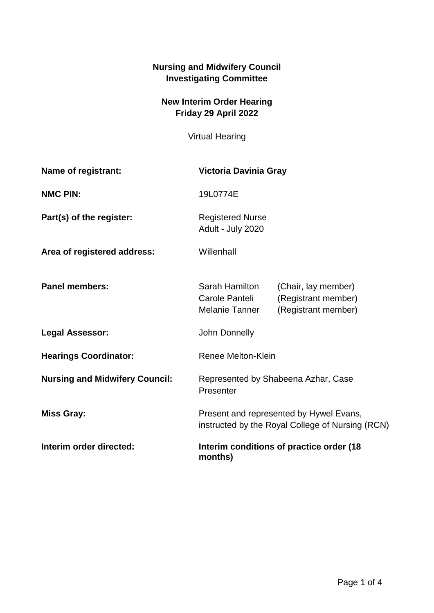## **Nursing and Midwifery Council Investigating Committee**

## **New Interim Order Hearing Friday 29 April 2022**

Virtual Hearing

| Name of registrant:                   | Victoria Davinia Gray                                                                       |                                                                   |
|---------------------------------------|---------------------------------------------------------------------------------------------|-------------------------------------------------------------------|
| <b>NMC PIN:</b>                       | 19L0774E                                                                                    |                                                                   |
| Part(s) of the register:              | <b>Registered Nurse</b><br>Adult - July 2020                                                |                                                                   |
| Area of registered address:           | Willenhall                                                                                  |                                                                   |
| <b>Panel members:</b>                 | Sarah Hamilton<br>Carole Panteli<br>Melanie Tanner                                          | (Chair, lay member)<br>(Registrant member)<br>(Registrant member) |
| <b>Legal Assessor:</b>                | John Donnelly                                                                               |                                                                   |
| <b>Hearings Coordinator:</b>          | Renee Melton-Klein                                                                          |                                                                   |
| <b>Nursing and Midwifery Council:</b> | Represented by Shabeena Azhar, Case<br>Presenter                                            |                                                                   |
| <b>Miss Gray:</b>                     | Present and represented by Hywel Evans,<br>instructed by the Royal College of Nursing (RCN) |                                                                   |
| Interim order directed:               | Interim conditions of practice order (18<br>months)                                         |                                                                   |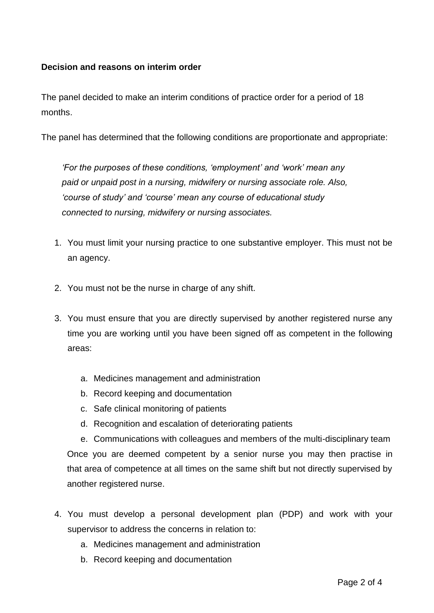## **Decision and reasons on interim order**

The panel decided to make an interim conditions of practice order for a period of 18 months.

The panel has determined that the following conditions are proportionate and appropriate:

*'For the purposes of these conditions, 'employment' and 'work' mean any paid or unpaid post in a nursing, midwifery or nursing associate role. Also, 'course of study' and 'course' mean any course of educational study connected to nursing, midwifery or nursing associates.*

- 1. You must limit your nursing practice to one substantive employer. This must not be an agency.
- 2. You must not be the nurse in charge of any shift.
- 3. You must ensure that you are directly supervised by another registered nurse any time you are working until you have been signed off as competent in the following areas:
	- a. Medicines management and administration
	- b. Record keeping and documentation
	- c. Safe clinical monitoring of patients
	- d. Recognition and escalation of deteriorating patients

e. Communications with colleagues and members of the multi-disciplinary team Once you are deemed competent by a senior nurse you may then practise in that area of competence at all times on the same shift but not directly supervised by another registered nurse.

- 4. You must develop a personal development plan (PDP) and work with your supervisor to address the concerns in relation to:
	- a. Medicines management and administration
	- b. Record keeping and documentation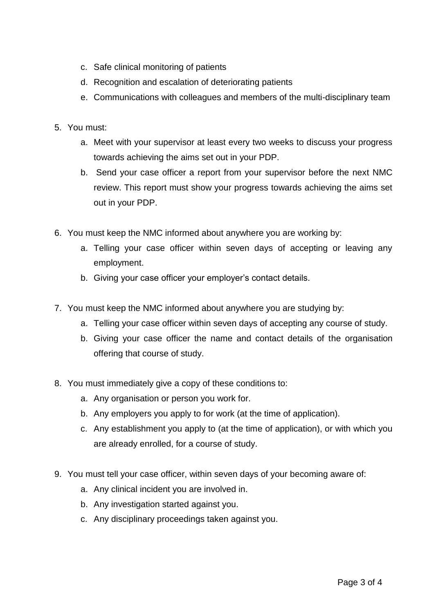- c. Safe clinical monitoring of patients
- d. Recognition and escalation of deteriorating patients
- e. Communications with colleagues and members of the multi-disciplinary team
- 5. You must:
	- a. Meet with your supervisor at least every two weeks to discuss your progress towards achieving the aims set out in your PDP.
	- b. Send your case officer a report from your supervisor before the next NMC review. This report must show your progress towards achieving the aims set out in your PDP.
- 6. You must keep the NMC informed about anywhere you are working by:
	- a. Telling your case officer within seven days of accepting or leaving any employment.
	- b. Giving your case officer your employer's contact details.
- 7. You must keep the NMC informed about anywhere you are studying by:
	- a. Telling your case officer within seven days of accepting any course of study.
	- b. Giving your case officer the name and contact details of the organisation offering that course of study.
- 8. You must immediately give a copy of these conditions to:
	- a. Any organisation or person you work for.
	- b. Any employers you apply to for work (at the time of application).
	- c. Any establishment you apply to (at the time of application), or with which you are already enrolled, for a course of study.
- 9. You must tell your case officer, within seven days of your becoming aware of:
	- a. Any clinical incident you are involved in.
	- b. Any investigation started against you.
	- c. Any disciplinary proceedings taken against you.